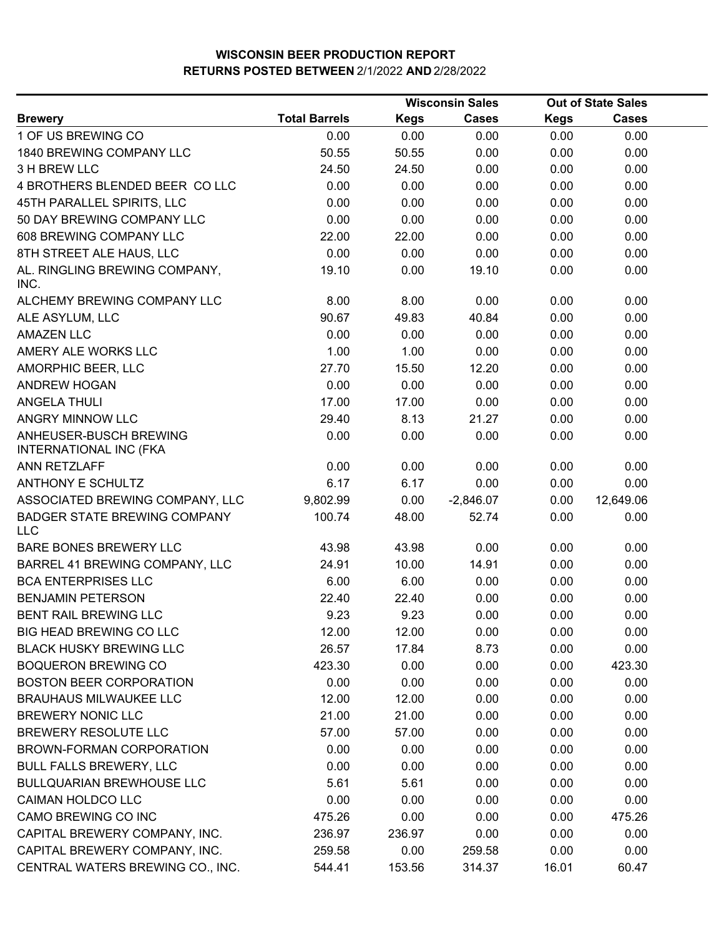|                                                         |                      |             | <b>Wisconsin Sales</b> |             | <b>Out of State Sales</b> |  |
|---------------------------------------------------------|----------------------|-------------|------------------------|-------------|---------------------------|--|
| <b>Brewery</b>                                          | <b>Total Barrels</b> | <b>Kegs</b> | <b>Cases</b>           | <b>Kegs</b> | <b>Cases</b>              |  |
| 1 OF US BREWING CO                                      | 0.00                 | 0.00        | 0.00                   | 0.00        | 0.00                      |  |
| 1840 BREWING COMPANY LLC                                | 50.55                | 50.55       | 0.00                   | 0.00        | 0.00                      |  |
| 3 H BREW LLC                                            | 24.50                | 24.50       | 0.00                   | 0.00        | 0.00                      |  |
| 4 BROTHERS BLENDED BEER CO LLC                          | 0.00                 | 0.00        | 0.00                   | 0.00        | 0.00                      |  |
| 45TH PARALLEL SPIRITS, LLC                              | 0.00                 | 0.00        | 0.00                   | 0.00        | 0.00                      |  |
| 50 DAY BREWING COMPANY LLC                              | 0.00                 | 0.00        | 0.00                   | 0.00        | 0.00                      |  |
| 608 BREWING COMPANY LLC                                 | 22.00                | 22.00       | 0.00                   | 0.00        | 0.00                      |  |
| 8TH STREET ALE HAUS, LLC                                | 0.00                 | 0.00        | 0.00                   | 0.00        | 0.00                      |  |
| AL. RINGLING BREWING COMPANY,<br>INC.                   | 19.10                | 0.00        | 19.10                  | 0.00        | 0.00                      |  |
| ALCHEMY BREWING COMPANY LLC                             | 8.00                 | 8.00        | 0.00                   | 0.00        | 0.00                      |  |
| ALE ASYLUM, LLC                                         | 90.67                | 49.83       | 40.84                  | 0.00        | 0.00                      |  |
| <b>AMAZEN LLC</b>                                       | 0.00                 | 0.00        | 0.00                   | 0.00        | 0.00                      |  |
| AMERY ALE WORKS LLC                                     | 1.00                 | 1.00        | 0.00                   | 0.00        | 0.00                      |  |
| AMORPHIC BEER, LLC                                      | 27.70                | 15.50       | 12.20                  | 0.00        | 0.00                      |  |
| ANDREW HOGAN                                            | 0.00                 | 0.00        | 0.00                   | 0.00        | 0.00                      |  |
| <b>ANGELA THULI</b>                                     | 17.00                | 17.00       | 0.00                   | 0.00        | 0.00                      |  |
| ANGRY MINNOW LLC                                        | 29.40                | 8.13        | 21.27                  | 0.00        | 0.00                      |  |
| ANHEUSER-BUSCH BREWING<br><b>INTERNATIONAL INC (FKA</b> | 0.00                 | 0.00        | 0.00                   | 0.00        | 0.00                      |  |
| ANN RETZLAFF                                            | 0.00                 | 0.00        | 0.00                   | 0.00        | 0.00                      |  |
| <b>ANTHONY E SCHULTZ</b>                                | 6.17                 | 6.17        | 0.00                   | 0.00        | 0.00                      |  |
| ASSOCIATED BREWING COMPANY, LLC                         | 9,802.99             | 0.00        | $-2,846.07$            | 0.00        | 12,649.06                 |  |
| <b>BADGER STATE BREWING COMPANY</b><br><b>LLC</b>       | 100.74               | 48.00       | 52.74                  | 0.00        | 0.00                      |  |
| BARE BONES BREWERY LLC                                  | 43.98                | 43.98       | 0.00                   | 0.00        | 0.00                      |  |
| BARREL 41 BREWING COMPANY, LLC                          | 24.91                | 10.00       | 14.91                  | 0.00        | 0.00                      |  |
| <b>BCA ENTERPRISES LLC</b>                              | 6.00                 | 6.00        | 0.00                   | 0.00        | 0.00                      |  |
| <b>BENJAMIN PETERSON</b>                                | 22.40                | 22.40       | 0.00                   | 0.00        | 0.00                      |  |
| <b>BENT RAIL BREWING LLC</b>                            | 9.23                 | 9.23        | 0.00                   | 0.00        | 0.00                      |  |
| BIG HEAD BREWING CO LLC                                 | 12.00                | 12.00       | 0.00                   | 0.00        | 0.00                      |  |
| <b>BLACK HUSKY BREWING LLC</b>                          | 26.57                | 17.84       | 8.73                   | 0.00        | 0.00                      |  |
| <b>BOQUERON BREWING CO</b>                              | 423.30               | 0.00        | 0.00                   | 0.00        | 423.30                    |  |
| <b>BOSTON BEER CORPORATION</b>                          | 0.00                 | 0.00        | 0.00                   | 0.00        | 0.00                      |  |
| <b>BRAUHAUS MILWAUKEE LLC</b>                           | 12.00                | 12.00       | 0.00                   | 0.00        | 0.00                      |  |
| <b>BREWERY NONIC LLC</b>                                | 21.00                | 21.00       | 0.00                   | 0.00        | 0.00                      |  |
| BREWERY RESOLUTE LLC                                    | 57.00                | 57.00       | 0.00                   | 0.00        | 0.00                      |  |
| BROWN-FORMAN CORPORATION                                | 0.00                 | 0.00        | 0.00                   | 0.00        | 0.00                      |  |
| <b>BULL FALLS BREWERY, LLC</b>                          | 0.00                 | 0.00        | 0.00                   | 0.00        | 0.00                      |  |
| <b>BULLQUARIAN BREWHOUSE LLC</b>                        | 5.61                 | 5.61        | 0.00                   | 0.00        | 0.00                      |  |
| <b>CAIMAN HOLDCO LLC</b>                                | 0.00                 | 0.00        | 0.00                   | 0.00        | 0.00                      |  |
| CAMO BREWING CO INC                                     | 475.26               | 0.00        | 0.00                   | 0.00        | 475.26                    |  |
| CAPITAL BREWERY COMPANY, INC.                           | 236.97               | 236.97      | 0.00                   | 0.00        | 0.00                      |  |
| CAPITAL BREWERY COMPANY, INC.                           | 259.58               | 0.00        | 259.58                 | 0.00        | 0.00                      |  |
| CENTRAL WATERS BREWING CO., INC.                        | 544.41               | 153.56      | 314.37                 | 16.01       | 60.47                     |  |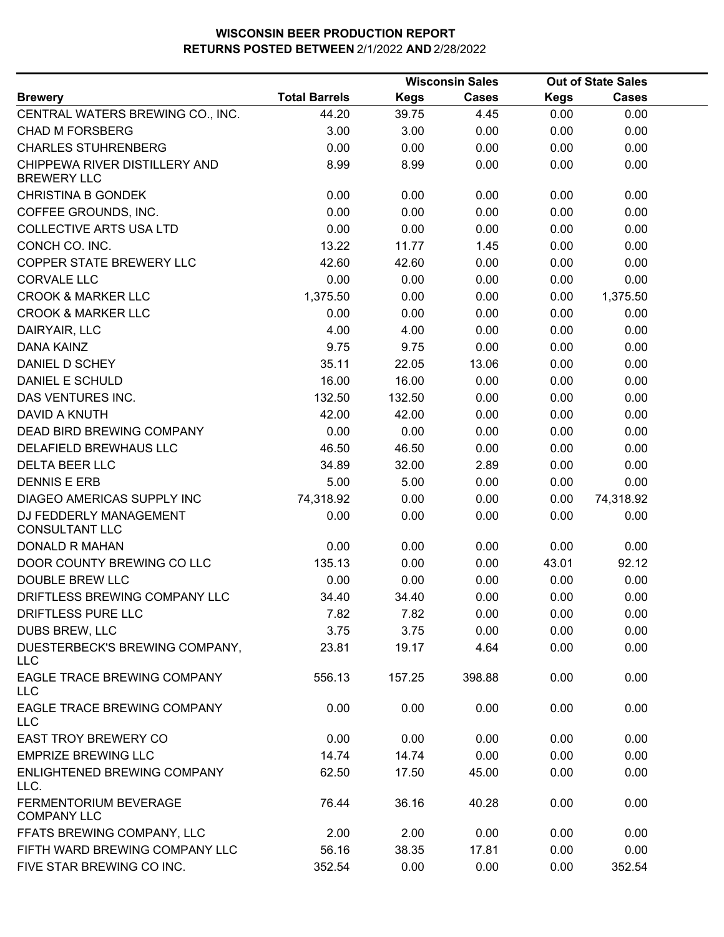|                                                     |                      |             | <b>Wisconsin Sales</b> |             | <b>Out of State Sales</b> |  |
|-----------------------------------------------------|----------------------|-------------|------------------------|-------------|---------------------------|--|
| <b>Brewery</b>                                      | <b>Total Barrels</b> | <b>Kegs</b> | <b>Cases</b>           | <b>Kegs</b> | Cases                     |  |
| CENTRAL WATERS BREWING CO., INC.                    | 44.20                | 39.75       | 4.45                   | 0.00        | 0.00                      |  |
| <b>CHAD M FORSBERG</b>                              | 3.00                 | 3.00        | 0.00                   | 0.00        | 0.00                      |  |
| <b>CHARLES STUHRENBERG</b>                          | 0.00                 | 0.00        | 0.00                   | 0.00        | 0.00                      |  |
| CHIPPEWA RIVER DISTILLERY AND<br><b>BREWERY LLC</b> | 8.99                 | 8.99        | 0.00                   | 0.00        | 0.00                      |  |
| <b>CHRISTINA B GONDEK</b>                           | 0.00                 | 0.00        | 0.00                   | 0.00        | 0.00                      |  |
| COFFEE GROUNDS, INC.                                | 0.00                 | 0.00        | 0.00                   | 0.00        | 0.00                      |  |
| <b>COLLECTIVE ARTS USA LTD</b>                      | 0.00                 | 0.00        | 0.00                   | 0.00        | 0.00                      |  |
| CONCH CO. INC.                                      | 13.22                | 11.77       | 1.45                   | 0.00        | 0.00                      |  |
| COPPER STATE BREWERY LLC                            | 42.60                | 42.60       | 0.00                   | 0.00        | 0.00                      |  |
| <b>CORVALE LLC</b>                                  | 0.00                 | 0.00        | 0.00                   | 0.00        | 0.00                      |  |
| <b>CROOK &amp; MARKER LLC</b>                       | 1,375.50             | 0.00        | 0.00                   | 0.00        | 1,375.50                  |  |
| <b>CROOK &amp; MARKER LLC</b>                       | 0.00                 | 0.00        | 0.00                   | 0.00        | 0.00                      |  |
| DAIRYAIR, LLC                                       | 4.00                 | 4.00        | 0.00                   | 0.00        | 0.00                      |  |
| DANA KAINZ                                          | 9.75                 | 9.75        | 0.00                   | 0.00        | 0.00                      |  |
| DANIEL D SCHEY                                      | 35.11                | 22.05       | 13.06                  | 0.00        | 0.00                      |  |
| DANIEL E SCHULD                                     | 16.00                | 16.00       | 0.00                   | 0.00        | 0.00                      |  |
| DAS VENTURES INC.                                   | 132.50               | 132.50      | 0.00                   | 0.00        | 0.00                      |  |
| DAVID A KNUTH                                       | 42.00                | 42.00       | 0.00                   | 0.00        | 0.00                      |  |
| DEAD BIRD BREWING COMPANY                           | 0.00                 | 0.00        | 0.00                   | 0.00        | 0.00                      |  |
| DELAFIELD BREWHAUS LLC                              | 46.50                | 46.50       | 0.00                   | 0.00        | 0.00                      |  |
| <b>DELTA BEER LLC</b>                               | 34.89                | 32.00       | 2.89                   | 0.00        | 0.00                      |  |
| <b>DENNIS E ERB</b>                                 | 5.00                 | 5.00        | 0.00                   | 0.00        | 0.00                      |  |
| DIAGEO AMERICAS SUPPLY INC                          | 74,318.92            | 0.00        | 0.00                   | 0.00        | 74,318.92                 |  |
| DJ FEDDERLY MANAGEMENT<br><b>CONSULTANT LLC</b>     | 0.00                 | 0.00        | 0.00                   | 0.00        | 0.00                      |  |
| <b>DONALD R MAHAN</b>                               | 0.00                 | 0.00        | 0.00                   | 0.00        | 0.00                      |  |
| DOOR COUNTY BREWING CO LLC                          | 135.13               | 0.00        | 0.00                   | 43.01       | 92.12                     |  |
| <b>DOUBLE BREW LLC</b>                              | 0.00                 | 0.00        | 0.00                   | 0.00        | 0.00                      |  |
| DRIFTLESS BREWING COMPANY LLC                       | 34.40                | 34.40       | 0.00                   | 0.00        | 0.00                      |  |
| DRIFTLESS PURE LLC                                  | 7.82                 | 7.82        | 0.00                   | 0.00        | 0.00                      |  |
| DUBS BREW, LLC                                      | 3.75                 | 3.75        | 0.00                   | 0.00        | 0.00                      |  |
| DUESTERBECK'S BREWING COMPANY,<br><b>LLC</b>        | 23.81                | 19.17       | 4.64                   | 0.00        | 0.00                      |  |
| EAGLE TRACE BREWING COMPANY<br><b>LLC</b>           | 556.13               | 157.25      | 398.88                 | 0.00        | 0.00                      |  |
| EAGLE TRACE BREWING COMPANY<br><b>LLC</b>           | 0.00                 | 0.00        | 0.00                   | 0.00        | 0.00                      |  |
| <b>EAST TROY BREWERY CO</b>                         | 0.00                 | 0.00        | 0.00                   | 0.00        | 0.00                      |  |
| <b>EMPRIZE BREWING LLC</b>                          | 14.74                | 14.74       | 0.00                   | 0.00        | 0.00                      |  |
| ENLIGHTENED BREWING COMPANY<br>LLC.                 | 62.50                | 17.50       | 45.00                  | 0.00        | 0.00                      |  |
| FERMENTORIUM BEVERAGE<br><b>COMPANY LLC</b>         | 76.44                | 36.16       | 40.28                  | 0.00        | 0.00                      |  |
| FFATS BREWING COMPANY, LLC                          | 2.00                 | 2.00        | 0.00                   | 0.00        | 0.00                      |  |
| FIFTH WARD BREWING COMPANY LLC                      | 56.16                | 38.35       | 17.81                  | 0.00        | 0.00                      |  |
| FIVE STAR BREWING CO INC.                           | 352.54               | 0.00        | 0.00                   | 0.00        | 352.54                    |  |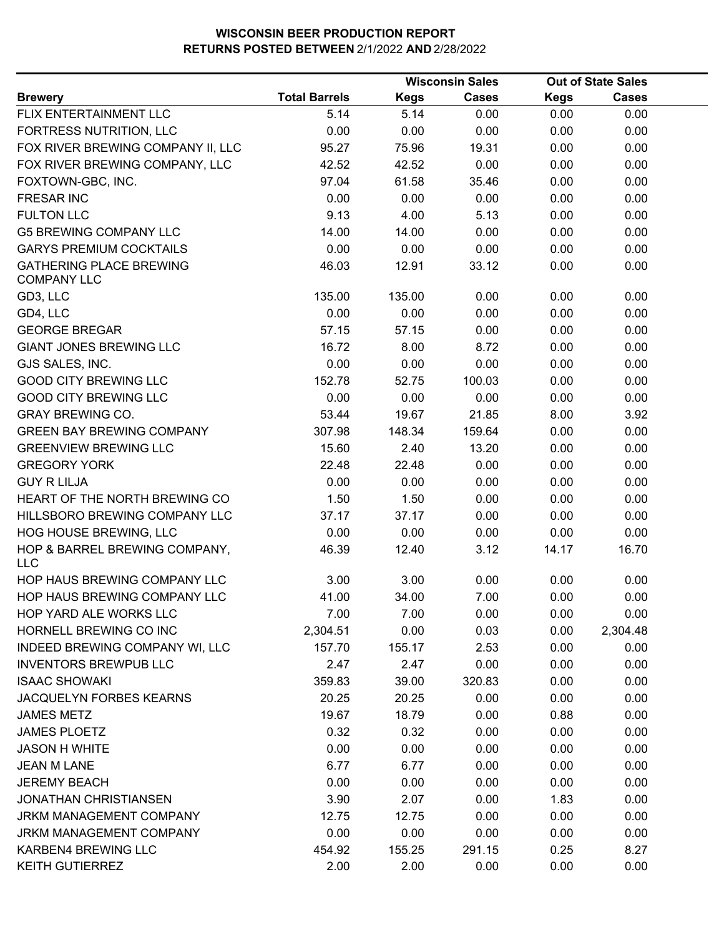|                                                      |                      |             | <b>Wisconsin Sales</b> |             | <b>Out of State Sales</b> |  |
|------------------------------------------------------|----------------------|-------------|------------------------|-------------|---------------------------|--|
| <b>Brewery</b>                                       | <b>Total Barrels</b> | <b>Kegs</b> | <b>Cases</b>           | <b>Kegs</b> | <b>Cases</b>              |  |
| FLIX ENTERTAINMENT LLC                               | 5.14                 | 5.14        | 0.00                   | 0.00        | 0.00                      |  |
| FORTRESS NUTRITION, LLC                              | 0.00                 | 0.00        | 0.00                   | 0.00        | 0.00                      |  |
| FOX RIVER BREWING COMPANY II, LLC                    | 95.27                | 75.96       | 19.31                  | 0.00        | 0.00                      |  |
| FOX RIVER BREWING COMPANY, LLC                       | 42.52                | 42.52       | 0.00                   | 0.00        | 0.00                      |  |
| FOXTOWN-GBC, INC.                                    | 97.04                | 61.58       | 35.46                  | 0.00        | 0.00                      |  |
| <b>FRESAR INC</b>                                    | 0.00                 | 0.00        | 0.00                   | 0.00        | 0.00                      |  |
| <b>FULTON LLC</b>                                    | 9.13                 | 4.00        | 5.13                   | 0.00        | 0.00                      |  |
| <b>G5 BREWING COMPANY LLC</b>                        | 14.00                | 14.00       | 0.00                   | 0.00        | 0.00                      |  |
| <b>GARYS PREMIUM COCKTAILS</b>                       | 0.00                 | 0.00        | 0.00                   | 0.00        | 0.00                      |  |
| <b>GATHERING PLACE BREWING</b><br><b>COMPANY LLC</b> | 46.03                | 12.91       | 33.12                  | 0.00        | 0.00                      |  |
| GD3, LLC                                             | 135.00               | 135.00      | 0.00                   | 0.00        | 0.00                      |  |
| GD4, LLC                                             | 0.00                 | 0.00        | 0.00                   | 0.00        | 0.00                      |  |
| <b>GEORGE BREGAR</b>                                 | 57.15                | 57.15       | 0.00                   | 0.00        | 0.00                      |  |
| <b>GIANT JONES BREWING LLC</b>                       | 16.72                | 8.00        | 8.72                   | 0.00        | 0.00                      |  |
| GJS SALES, INC.                                      | 0.00                 | 0.00        | 0.00                   | 0.00        | 0.00                      |  |
| <b>GOOD CITY BREWING LLC</b>                         | 152.78               | 52.75       | 100.03                 | 0.00        | 0.00                      |  |
| <b>GOOD CITY BREWING LLC</b>                         | 0.00                 | 0.00        | 0.00                   | 0.00        | 0.00                      |  |
| <b>GRAY BREWING CO.</b>                              | 53.44                | 19.67       | 21.85                  | 8.00        | 3.92                      |  |
| <b>GREEN BAY BREWING COMPANY</b>                     | 307.98               | 148.34      | 159.64                 | 0.00        | 0.00                      |  |
| <b>GREENVIEW BREWING LLC</b>                         | 15.60                | 2.40        | 13.20                  | 0.00        | 0.00                      |  |
| <b>GREGORY YORK</b>                                  | 22.48                | 22.48       | 0.00                   | 0.00        | 0.00                      |  |
| <b>GUY R LILJA</b>                                   | 0.00                 | 0.00        | 0.00                   | 0.00        | 0.00                      |  |
| HEART OF THE NORTH BREWING CO                        | 1.50                 | 1.50        | 0.00                   | 0.00        | 0.00                      |  |
| HILLSBORO BREWING COMPANY LLC                        | 37.17                | 37.17       | 0.00                   | 0.00        | 0.00                      |  |
| HOG HOUSE BREWING, LLC                               | 0.00                 | 0.00        | 0.00                   | 0.00        | 0.00                      |  |
| HOP & BARREL BREWING COMPANY,<br><b>LLC</b>          | 46.39                | 12.40       | 3.12                   | 14.17       | 16.70                     |  |
| HOP HAUS BREWING COMPANY LLC                         | 3.00                 | 3.00        | 0.00                   | 0.00        | 0.00                      |  |
| HOP HAUS BREWING COMPANY LLC                         | 41.00                | 34.00       | 7.00                   | 0.00        | 0.00                      |  |
| HOP YARD ALE WORKS LLC                               | 7.00                 | 7.00        | 0.00                   | 0.00        | 0.00                      |  |
| HORNELL BREWING CO INC                               | 2,304.51             | 0.00        | 0.03                   | 0.00        | 2,304.48                  |  |
| INDEED BREWING COMPANY WI, LLC                       | 157.70               | 155.17      | 2.53                   | 0.00        | 0.00                      |  |
| <b>INVENTORS BREWPUB LLC</b>                         | 2.47                 | 2.47        | 0.00                   | 0.00        | 0.00                      |  |
| <b>ISAAC SHOWAKI</b>                                 | 359.83               | 39.00       | 320.83                 | 0.00        | 0.00                      |  |
| JACQUELYN FORBES KEARNS                              | 20.25                | 20.25       | 0.00                   | 0.00        | 0.00                      |  |
| <b>JAMES METZ</b>                                    | 19.67                | 18.79       | 0.00                   | 0.88        | 0.00                      |  |
| <b>JAMES PLOETZ</b>                                  | 0.32                 | 0.32        | 0.00                   | 0.00        | 0.00                      |  |
| <b>JASON H WHITE</b>                                 | 0.00                 | 0.00        | 0.00                   | 0.00        | 0.00                      |  |
| <b>JEAN M LANE</b>                                   | 6.77                 | 6.77        | 0.00                   | 0.00        | 0.00                      |  |
| <b>JEREMY BEACH</b>                                  | 0.00                 | 0.00        | 0.00                   | 0.00        | 0.00                      |  |
| <b>JONATHAN CHRISTIANSEN</b>                         | 3.90                 | 2.07        | 0.00                   | 1.83        | 0.00                      |  |
| JRKM MANAGEMENT COMPANY                              | 12.75                | 12.75       | 0.00                   | 0.00        | 0.00                      |  |
| <b>JRKM MANAGEMENT COMPANY</b>                       | 0.00                 | 0.00        | 0.00                   | 0.00        | 0.00                      |  |
| KARBEN4 BREWING LLC                                  | 454.92               | 155.25      | 291.15                 | 0.25        | 8.27                      |  |
| <b>KEITH GUTIERREZ</b>                               | 2.00                 | 2.00        | 0.00                   | 0.00        | 0.00                      |  |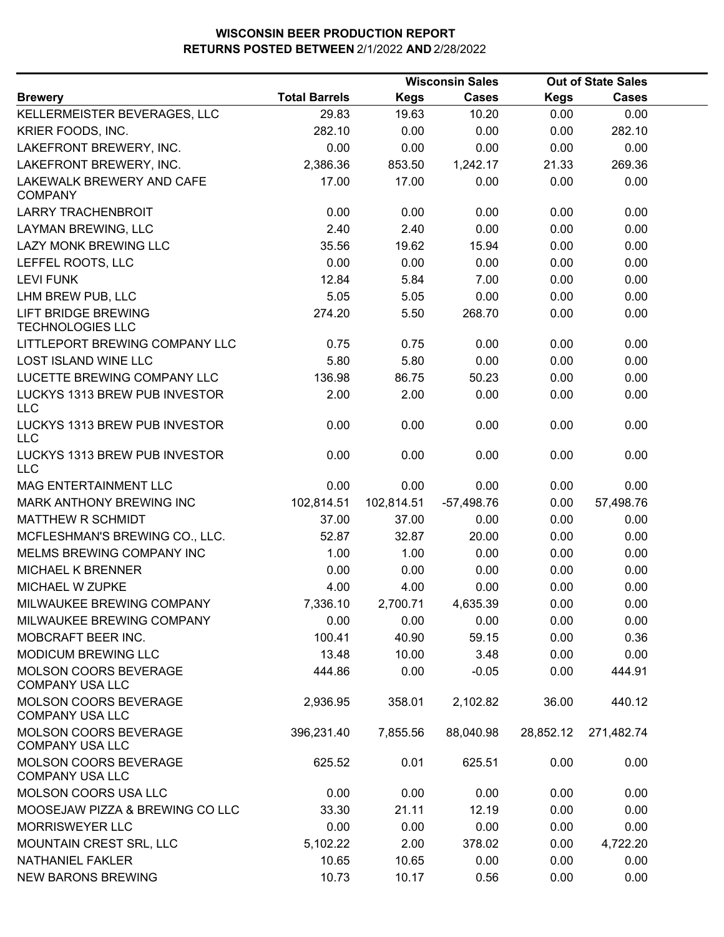|                                                        |                      |             | <b>Wisconsin Sales</b> |             | <b>Out of State Sales</b> |  |
|--------------------------------------------------------|----------------------|-------------|------------------------|-------------|---------------------------|--|
| <b>Brewery</b>                                         | <b>Total Barrels</b> | <b>Kegs</b> | <b>Cases</b>           | <b>Kegs</b> | <b>Cases</b>              |  |
| KELLERMEISTER BEVERAGES, LLC                           | 29.83                | 19.63       | 10.20                  | 0.00        | 0.00                      |  |
| KRIER FOODS, INC.                                      | 282.10               | 0.00        | 0.00                   | 0.00        | 282.10                    |  |
| LAKEFRONT BREWERY, INC.                                | 0.00                 | 0.00        | 0.00                   | 0.00        | 0.00                      |  |
| LAKEFRONT BREWERY, INC.                                | 2,386.36             | 853.50      | 1,242.17               | 21.33       | 269.36                    |  |
| LAKEWALK BREWERY AND CAFE<br><b>COMPANY</b>            | 17.00                | 17.00       | 0.00                   | 0.00        | 0.00                      |  |
| <b>LARRY TRACHENBROIT</b>                              | 0.00                 | 0.00        | 0.00                   | 0.00        | 0.00                      |  |
| LAYMAN BREWING, LLC                                    | 2.40                 | 2.40        | 0.00                   | 0.00        | 0.00                      |  |
| LAZY MONK BREWING LLC                                  | 35.56                | 19.62       | 15.94                  | 0.00        | 0.00                      |  |
| LEFFEL ROOTS, LLC                                      | 0.00                 | 0.00        | 0.00                   | 0.00        | 0.00                      |  |
| <b>LEVI FUNK</b>                                       | 12.84                | 5.84        | 7.00                   | 0.00        | 0.00                      |  |
| LHM BREW PUB, LLC                                      | 5.05                 | 5.05        | 0.00                   | 0.00        | 0.00                      |  |
| <b>LIFT BRIDGE BREWING</b><br><b>TECHNOLOGIES LLC</b>  | 274.20               | 5.50        | 268.70                 | 0.00        | 0.00                      |  |
| LITTLEPORT BREWING COMPANY LLC                         | 0.75                 | 0.75        | 0.00                   | 0.00        | 0.00                      |  |
| <b>LOST ISLAND WINE LLC</b>                            | 5.80                 | 5.80        | 0.00                   | 0.00        | 0.00                      |  |
| LUCETTE BREWING COMPANY LLC                            | 136.98               | 86.75       | 50.23                  | 0.00        | 0.00                      |  |
| LUCKYS 1313 BREW PUB INVESTOR<br><b>LLC</b>            | 2.00                 | 2.00        | 0.00                   | 0.00        | 0.00                      |  |
| LUCKYS 1313 BREW PUB INVESTOR<br><b>LLC</b>            | 0.00                 | 0.00        | 0.00                   | 0.00        | 0.00                      |  |
| LUCKYS 1313 BREW PUB INVESTOR<br><b>LLC</b>            | 0.00                 | 0.00        | 0.00                   | 0.00        | 0.00                      |  |
| MAG ENTERTAINMENT LLC                                  | 0.00                 | 0.00        | 0.00                   | 0.00        | 0.00                      |  |
| MARK ANTHONY BREWING INC                               | 102,814.51           | 102,814.51  | $-57,498.76$           | 0.00        | 57,498.76                 |  |
| MATTHEW R SCHMIDT                                      | 37.00                | 37.00       | 0.00                   | 0.00        | 0.00                      |  |
| MCFLESHMAN'S BREWING CO., LLC.                         | 52.87                | 32.87       | 20.00                  | 0.00        | 0.00                      |  |
| MELMS BREWING COMPANY INC                              | 1.00                 | 1.00        | 0.00                   | 0.00        | 0.00                      |  |
| <b>MICHAEL K BRENNER</b>                               | 0.00                 | 0.00        | 0.00                   | 0.00        | 0.00                      |  |
| MICHAEL W ZUPKE                                        | 4.00                 | 4.00        | 0.00                   | 0.00        | 0.00                      |  |
| MILWAUKEE BREWING COMPANY                              | 7,336.10             | 2,700.71    | 4,635.39               | 0.00        | 0.00                      |  |
| MILWAUKEE BREWING COMPANY                              | 0.00                 | 0.00        | 0.00                   | 0.00        | 0.00                      |  |
| MOBCRAFT BEER INC.                                     | 100.41               | 40.90       | 59.15                  | 0.00        | 0.36                      |  |
| <b>MODICUM BREWING LLC</b>                             | 13.48                | 10.00       | 3.48                   | 0.00        | 0.00                      |  |
| <b>MOLSON COORS BEVERAGE</b><br><b>COMPANY USA LLC</b> | 444.86               | 0.00        | $-0.05$                | 0.00        | 444.91                    |  |
| MOLSON COORS BEVERAGE<br><b>COMPANY USA LLC</b>        | 2,936.95             | 358.01      | 2,102.82               | 36.00       | 440.12                    |  |
| MOLSON COORS BEVERAGE<br><b>COMPANY USA LLC</b>        | 396,231.40           | 7,855.56    | 88,040.98              | 28,852.12   | 271,482.74                |  |
| MOLSON COORS BEVERAGE<br><b>COMPANY USA LLC</b>        | 625.52               | 0.01        | 625.51                 | 0.00        | 0.00                      |  |
| MOLSON COORS USA LLC                                   | 0.00                 | 0.00        | 0.00                   | 0.00        | 0.00                      |  |
| MOOSEJAW PIZZA & BREWING CO LLC                        | 33.30                | 21.11       | 12.19                  | 0.00        | 0.00                      |  |
| <b>MORRISWEYER LLC</b>                                 | 0.00                 | 0.00        | 0.00                   | 0.00        | 0.00                      |  |
| MOUNTAIN CREST SRL, LLC                                | 5,102.22             | 2.00        | 378.02                 | 0.00        | 4,722.20                  |  |
| <b>NATHANIEL FAKLER</b>                                | 10.65                | 10.65       | 0.00                   | 0.00        | 0.00                      |  |
| <b>NEW BARONS BREWING</b>                              | 10.73                | 10.17       | 0.56                   | 0.00        | 0.00                      |  |
|                                                        |                      |             |                        |             |                           |  |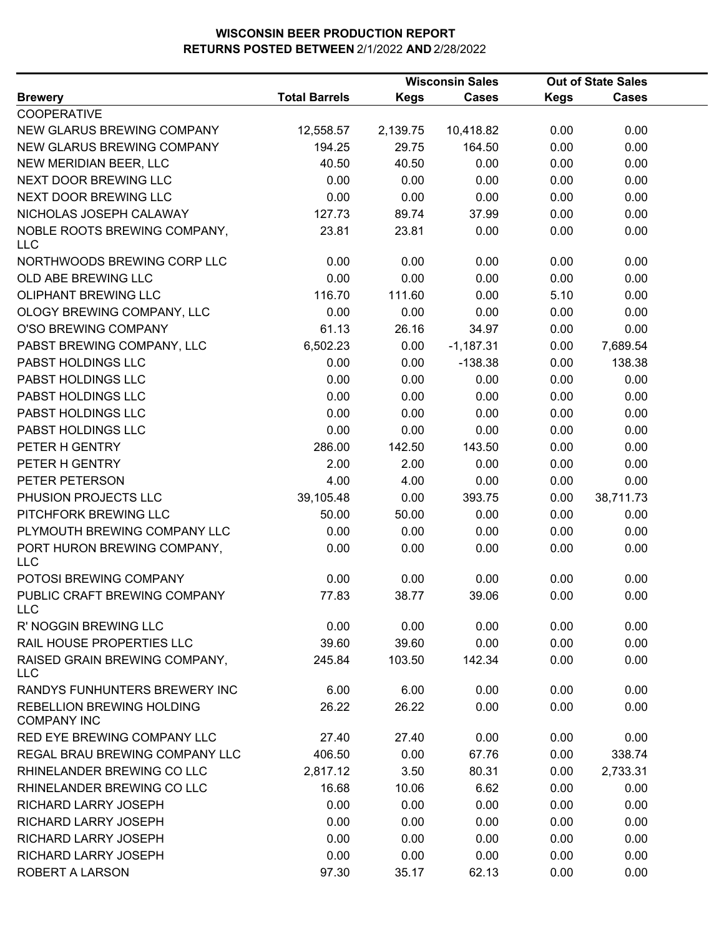|                                                        |                      | <b>Wisconsin Sales</b> |              | <b>Out of State Sales</b> |              |  |  |
|--------------------------------------------------------|----------------------|------------------------|--------------|---------------------------|--------------|--|--|
| <b>Brewery</b>                                         | <b>Total Barrels</b> | <b>Kegs</b>            | <b>Cases</b> | <b>Kegs</b>               | <b>Cases</b> |  |  |
| <b>COOPERATIVE</b>                                     |                      |                        |              |                           |              |  |  |
| NEW GLARUS BREWING COMPANY                             | 12,558.57            | 2,139.75               | 10,418.82    | 0.00                      | 0.00         |  |  |
| NEW GLARUS BREWING COMPANY                             | 194.25               | 29.75                  | 164.50       | 0.00                      | 0.00         |  |  |
| NEW MERIDIAN BEER, LLC                                 | 40.50                | 40.50                  | 0.00         | 0.00                      | 0.00         |  |  |
| NEXT DOOR BREWING LLC                                  | 0.00                 | 0.00                   | 0.00         | 0.00                      | 0.00         |  |  |
| NEXT DOOR BREWING LLC                                  | 0.00                 | 0.00                   | 0.00         | 0.00                      | 0.00         |  |  |
| NICHOLAS JOSEPH CALAWAY                                | 127.73               | 89.74                  | 37.99        | 0.00                      | 0.00         |  |  |
| NOBLE ROOTS BREWING COMPANY,<br><b>LLC</b>             | 23.81                | 23.81                  | 0.00         | 0.00                      | 0.00         |  |  |
| NORTHWOODS BREWING CORP LLC                            | 0.00                 | 0.00                   | 0.00         | 0.00                      | 0.00         |  |  |
| OLD ABE BREWING LLC                                    | 0.00                 | 0.00                   | 0.00         | 0.00                      | 0.00         |  |  |
| OLIPHANT BREWING LLC                                   | 116.70               | 111.60                 | 0.00         | 5.10                      | 0.00         |  |  |
| OLOGY BREWING COMPANY, LLC                             | 0.00                 | 0.00                   | 0.00         | 0.00                      | 0.00         |  |  |
| O'SO BREWING COMPANY                                   | 61.13                | 26.16                  | 34.97        | 0.00                      | 0.00         |  |  |
| PABST BREWING COMPANY, LLC                             | 6,502.23             | 0.00                   | $-1,187.31$  | 0.00                      | 7,689.54     |  |  |
| PABST HOLDINGS LLC                                     | 0.00                 | 0.00                   | $-138.38$    | 0.00                      | 138.38       |  |  |
| PABST HOLDINGS LLC                                     | 0.00                 | 0.00                   | 0.00         | 0.00                      | 0.00         |  |  |
| PABST HOLDINGS LLC                                     | 0.00                 | 0.00                   | 0.00         | 0.00                      | 0.00         |  |  |
| PABST HOLDINGS LLC                                     | 0.00                 | 0.00                   | 0.00         | 0.00                      | 0.00         |  |  |
| PABST HOLDINGS LLC                                     | 0.00                 | 0.00                   | 0.00         | 0.00                      | 0.00         |  |  |
| PETER H GENTRY                                         | 286.00               | 142.50                 | 143.50       | 0.00                      | 0.00         |  |  |
| PETER H GENTRY                                         | 2.00                 | 2.00                   | 0.00         | 0.00                      | 0.00         |  |  |
| PETER PETERSON                                         | 4.00                 | 4.00                   | 0.00         | 0.00                      | 0.00         |  |  |
| PHUSION PROJECTS LLC                                   | 39,105.48            | 0.00                   | 393.75       | 0.00                      | 38,711.73    |  |  |
| PITCHFORK BREWING LLC                                  | 50.00                | 50.00                  | 0.00         | 0.00                      | 0.00         |  |  |
| PLYMOUTH BREWING COMPANY LLC                           | 0.00                 | 0.00                   | 0.00         | 0.00                      | 0.00         |  |  |
| PORT HURON BREWING COMPANY,<br><b>LLC</b>              | 0.00                 | 0.00                   | 0.00         | 0.00                      | 0.00         |  |  |
| POTOSI BREWING COMPANY                                 | 0.00                 | 0.00                   | 0.00         | 0.00                      | 0.00         |  |  |
| PUBLIC CRAFT BREWING COMPANY<br>LLC                    | 77.83                | 38.77                  | 39.06        | 0.00                      | 0.00         |  |  |
| R' NOGGIN BREWING LLC                                  | 0.00                 | 0.00                   | 0.00         | 0.00                      | 0.00         |  |  |
| RAIL HOUSE PROPERTIES LLC                              | 39.60                | 39.60                  | 0.00         | 0.00                      | 0.00         |  |  |
| RAISED GRAIN BREWING COMPANY,<br><b>LLC</b>            | 245.84               | 103.50                 | 142.34       | 0.00                      | 0.00         |  |  |
| RANDYS FUNHUNTERS BREWERY INC                          | 6.00                 | 6.00                   | 0.00         | 0.00                      | 0.00         |  |  |
| <b>REBELLION BREWING HOLDING</b><br><b>COMPANY INC</b> | 26.22                | 26.22                  | 0.00         | 0.00                      | 0.00         |  |  |
| RED EYE BREWING COMPANY LLC                            | 27.40                | 27.40                  | 0.00         | 0.00                      | 0.00         |  |  |
| REGAL BRAU BREWING COMPANY LLC                         | 406.50               | 0.00                   | 67.76        | 0.00                      | 338.74       |  |  |
| RHINELANDER BREWING CO LLC                             | 2,817.12             | 3.50                   | 80.31        | 0.00                      | 2,733.31     |  |  |
| RHINELANDER BREWING CO LLC                             | 16.68                | 10.06                  | 6.62         | 0.00                      | 0.00         |  |  |
| RICHARD LARRY JOSEPH                                   | 0.00                 | 0.00                   | 0.00         | 0.00                      | 0.00         |  |  |
| RICHARD LARRY JOSEPH                                   | 0.00                 | 0.00                   | 0.00         | 0.00                      | 0.00         |  |  |
| RICHARD LARRY JOSEPH                                   | 0.00                 | 0.00                   | 0.00         | 0.00                      | 0.00         |  |  |
| RICHARD LARRY JOSEPH                                   | 0.00                 | 0.00                   | 0.00         | 0.00                      | 0.00         |  |  |
| ROBERT A LARSON                                        | 97.30                | 35.17                  | 62.13        | 0.00                      | 0.00         |  |  |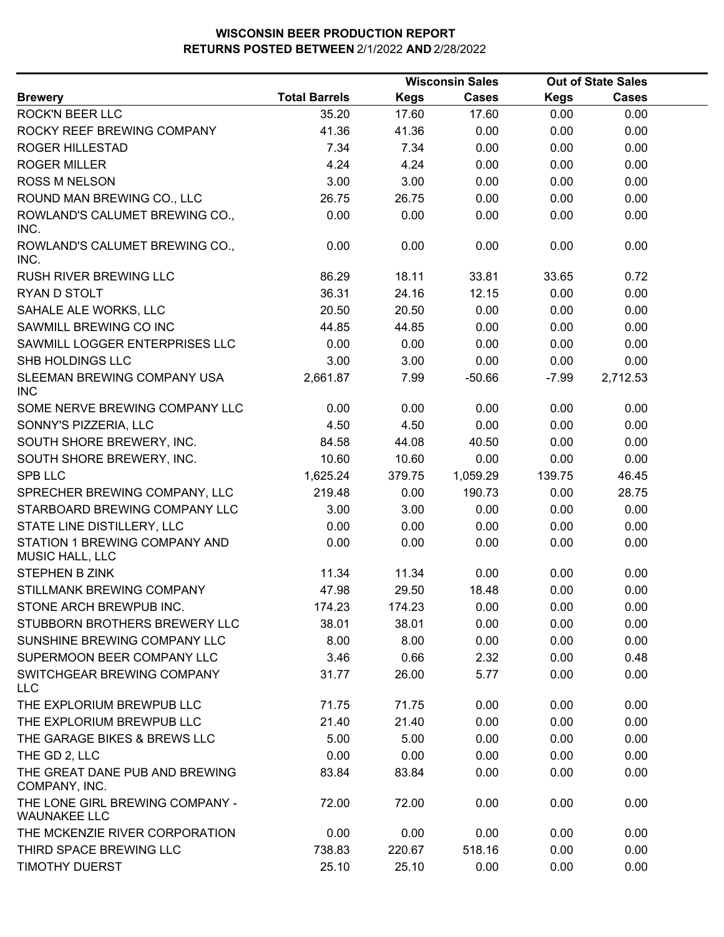|                                                        |                      |             | <b>Wisconsin Sales</b> |             | <b>Out of State Sales</b> |  |
|--------------------------------------------------------|----------------------|-------------|------------------------|-------------|---------------------------|--|
| <b>Brewery</b>                                         | <b>Total Barrels</b> | <b>Kegs</b> | <b>Cases</b>           | <b>Kegs</b> | <b>Cases</b>              |  |
| <b>ROCK'N BEER LLC</b>                                 | 35.20                | 17.60       | 17.60                  | 0.00        | 0.00                      |  |
| ROCKY REEF BREWING COMPANY                             | 41.36                | 41.36       | 0.00                   | 0.00        | 0.00                      |  |
| <b>ROGER HILLESTAD</b>                                 | 7.34                 | 7.34        | 0.00                   | 0.00        | 0.00                      |  |
| <b>ROGER MILLER</b>                                    | 4.24                 | 4.24        | 0.00                   | 0.00        | 0.00                      |  |
| <b>ROSS M NELSON</b>                                   | 3.00                 | 3.00        | 0.00                   | 0.00        | 0.00                      |  |
| ROUND MAN BREWING CO., LLC                             | 26.75                | 26.75       | 0.00                   | 0.00        | 0.00                      |  |
| ROWLAND'S CALUMET BREWING CO.,<br>INC.                 | 0.00                 | 0.00        | 0.00                   | 0.00        | 0.00                      |  |
| ROWLAND'S CALUMET BREWING CO.,<br>INC.                 | 0.00                 | 0.00        | 0.00                   | 0.00        | 0.00                      |  |
| <b>RUSH RIVER BREWING LLC</b>                          | 86.29                | 18.11       | 33.81                  | 33.65       | 0.72                      |  |
| RYAN D STOLT                                           | 36.31                | 24.16       | 12.15                  | 0.00        | 0.00                      |  |
| SAHALE ALE WORKS, LLC                                  | 20.50                | 20.50       | 0.00                   | 0.00        | 0.00                      |  |
| SAWMILL BREWING CO INC                                 | 44.85                | 44.85       | 0.00                   | 0.00        | 0.00                      |  |
| SAWMILL LOGGER ENTERPRISES LLC                         | 0.00                 | 0.00        | 0.00                   | 0.00        | 0.00                      |  |
| SHB HOLDINGS LLC                                       | 3.00                 | 3.00        | 0.00                   | 0.00        | 0.00                      |  |
| SLEEMAN BREWING COMPANY USA<br><b>INC</b>              | 2,661.87             | 7.99        | $-50.66$               | $-7.99$     | 2,712.53                  |  |
| SOME NERVE BREWING COMPANY LLC                         | 0.00                 | 0.00        | 0.00                   | 0.00        | 0.00                      |  |
| SONNY'S PIZZERIA, LLC                                  | 4.50                 | 4.50        | 0.00                   | 0.00        | 0.00                      |  |
| SOUTH SHORE BREWERY, INC.                              | 84.58                | 44.08       | 40.50                  | 0.00        | 0.00                      |  |
| SOUTH SHORE BREWERY, INC.                              | 10.60                | 10.60       | 0.00                   | 0.00        | 0.00                      |  |
| <b>SPB LLC</b>                                         | 1,625.24             | 379.75      | 1,059.29               | 139.75      | 46.45                     |  |
| SPRECHER BREWING COMPANY, LLC                          | 219.48               | 0.00        | 190.73                 | 0.00        | 28.75                     |  |
| STARBOARD BREWING COMPANY LLC                          | 3.00                 | 3.00        | 0.00                   | 0.00        | 0.00                      |  |
| STATE LINE DISTILLERY, LLC                             | 0.00                 | 0.00        | 0.00                   | 0.00        | 0.00                      |  |
| STATION 1 BREWING COMPANY AND<br>MUSIC HALL, LLC       | 0.00                 | 0.00        | 0.00                   | 0.00        | 0.00                      |  |
| <b>STEPHEN B ZINK</b>                                  | 11.34                | 11.34       | 0.00                   | 0.00        | 0.00                      |  |
| STILLMANK BREWING COMPANY                              | 47.98                | 29.50       | 18.48                  | 0.00        | 0.00                      |  |
| STONE ARCH BREWPUB INC.                                | 174.23               | 174.23      | 0.00                   | 0.00        | 0.00                      |  |
| STUBBORN BROTHERS BREWERY LLC                          | 38.01                | 38.01       | 0.00                   | 0.00        | 0.00                      |  |
| SUNSHINE BREWING COMPANY LLC                           | 8.00                 | 8.00        | 0.00                   | 0.00        | 0.00                      |  |
| SUPERMOON BEER COMPANY LLC                             | 3.46                 | 0.66        | 2.32                   | 0.00        | 0.48                      |  |
| SWITCHGEAR BREWING COMPANY<br><b>LLC</b>               | 31.77                | 26.00       | 5.77                   | 0.00        | 0.00                      |  |
| THE EXPLORIUM BREWPUB LLC                              | 71.75                | 71.75       | 0.00                   | 0.00        | 0.00                      |  |
| THE EXPLORIUM BREWPUB LLC                              | 21.40                | 21.40       | 0.00                   | 0.00        | 0.00                      |  |
| THE GARAGE BIKES & BREWS LLC                           | 5.00                 | 5.00        | 0.00                   | 0.00        | 0.00                      |  |
| THE GD 2, LLC                                          | 0.00                 | 0.00        | 0.00                   | 0.00        | 0.00                      |  |
| THE GREAT DANE PUB AND BREWING<br>COMPANY, INC.        | 83.84                | 83.84       | 0.00                   | 0.00        | 0.00                      |  |
| THE LONE GIRL BREWING COMPANY -<br><b>WAUNAKEE LLC</b> | 72.00                | 72.00       | 0.00                   | 0.00        | 0.00                      |  |
| THE MCKENZIE RIVER CORPORATION                         | 0.00                 | 0.00        | 0.00                   | 0.00        | 0.00                      |  |
| THIRD SPACE BREWING LLC                                | 738.83               | 220.67      | 518.16                 | 0.00        | 0.00                      |  |
| <b>TIMOTHY DUERST</b>                                  | 25.10                | 25.10       | 0.00                   | 0.00        | 0.00                      |  |
|                                                        |                      |             |                        |             |                           |  |